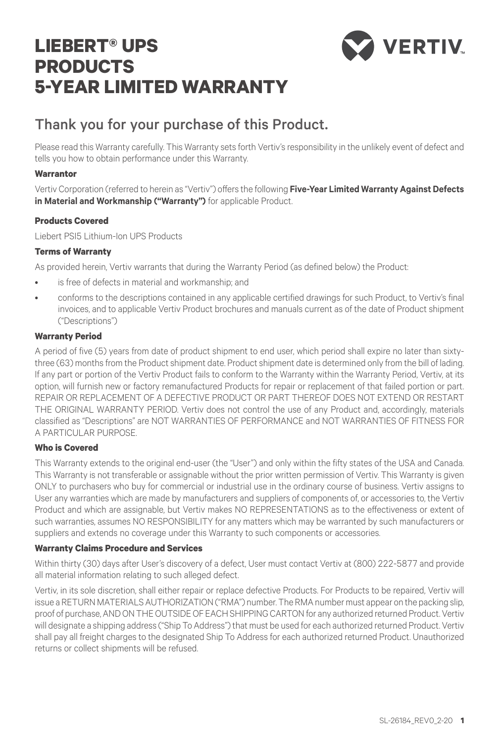# **LIEBERT® UPS PRODUCTS 5-YEAR LIMITED WARRANTY**



# Thank you for your purchase of this Product.

Please read this Warranty carefully. This Warranty sets forth Vertiv's responsibility in the unlikely event of defect and tells you how to obtain performance under this Warranty.

## **Warrantor**

Vertiv Corporation (referred to herein as "Vertiv") offers the following **Five-Year Limited Warranty Against Defects in Material and Workmanship ("Warranty")** for applicable Product.

# **Products Covered**

Liebert PSI5 Lithium-Ion UPS Products

## **Terms of Warranty**

As provided herein, Vertiv warrants that during the Warranty Period (as defined below) the Product:

- is free of defects in material and workmanship; and
- conforms to the descriptions contained in any applicable certified drawings for such Product, to Vertiv's final invoices, and to applicable Vertiv Product brochures and manuals current as of the date of Product shipment ("Descriptions")

#### **Warranty Period**

A period of five (5) years from date of product shipment to end user, which period shall expire no later than sixtythree (63) months from the Product shipment date. Product shipment date is determined only from the bill of lading. If any part or portion of the Vertiv Product fails to conform to the Warranty within the Warranty Period, Vertiv, at its option, will furnish new or factory remanufactured Products for repair or replacement of that failed portion or part. REPAIR OR REPLACEMENT OF A DEFECTIVE PRODUCT OR PART THEREOF DOES NOT EXTEND OR RESTART THE ORIGINAL WARRANTY PERIOD. Vertiv does not control the use of any Product and, accordingly, materials classified as "Descriptions" are NOT WARRANTIES OF PERFORMANCE and NOT WARRANTIES OF FITNESS FOR A PARTICULAR PURPOSE.

# **Who is Covered**

This Warranty extends to the original end-user (the "User") and only within the fifty states of the USA and Canada. This Warranty is not transferable or assignable without the prior written permission of Vertiv. This Warranty is given ONLY to purchasers who buy for commercial or industrial use in the ordinary course of business. Vertiv assigns to User any warranties which are made by manufacturers and suppliers of components of, or accessories to, the Vertiv Product and which are assignable, but Vertiv makes NO REPRESENTATIONS as to the effectiveness or extent of such warranties, assumes NO RESPONSIBILITY for any matters which may be warranted by such manufacturers or suppliers and extends no coverage under this Warranty to such components or accessories.

# **Warranty Claims Procedure and Services**

Within thirty (30) days after User's discovery of a defect, User must contact Vertiv at (800) 222-5877 and provide all material information relating to such alleged defect.

Vertiv, in its sole discretion, shall either repair or replace defective Products. For Products to be repaired, Vertiv will issue a RETURN MATERIALS AUTHORIZATION ("RMA") number. The RMA number must appear on the packing slip, proof of purchase, AND ON THE OUTSIDE OF EACH SHIPPING CARTON for any authorized returned Product. Vertiv will designate a shipping address ("Ship To Address") that must be used for each authorized returned Product. Vertiv shall pay all freight charges to the designated Ship To Address for each authorized returned Product. Unauthorized returns or collect shipments will be refused.